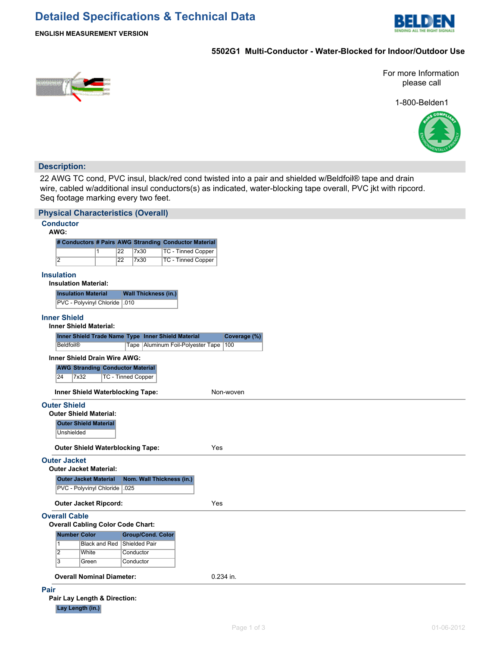## **Detailed Specifications & Technical Data**



**ENGLISH MEASUREMENT VERSION**

## **5502G1 Multi-Conductor - Water-Blocked for Indoor/Outdoor Use**



For more Information please call

1-800-Belden1



## **Description:**

22 AWG TC cond, PVC insul, black/red cond twisted into a pair and shielded w/Beldfoil® tape and drain wire, cabled w/additional insul conductors(s) as indicated, water-blocking tape overall, PVC jkt with ripcord. Seq footage marking every two feet.

| <b>Physical Characteristics (Overall)</b>            |                                                                    |                 |                             |                                                       |  |  |  |  |  |  |  |
|------------------------------------------------------|--------------------------------------------------------------------|-----------------|-----------------------------|-------------------------------------------------------|--|--|--|--|--|--|--|
| <b>Conductor</b><br>AWG:                             |                                                                    |                 |                             |                                                       |  |  |  |  |  |  |  |
|                                                      |                                                                    |                 |                             | # Conductors # Pairs AWG Stranding Conductor Material |  |  |  |  |  |  |  |
|                                                      | $\mathbf{1}$                                                       | 22              | 7x30                        | TC - Tinned Copper                                    |  |  |  |  |  |  |  |
| $\overline{2}$                                       |                                                                    | $\overline{22}$ | 7x30                        | <b>TC - Tinned Copper</b>                             |  |  |  |  |  |  |  |
| <b>Insulation</b>                                    | <b>Insulation Material:</b>                                        |                 |                             |                                                       |  |  |  |  |  |  |  |
|                                                      | <b>Insulation Material</b>                                         |                 | <b>Wall Thickness (in.)</b> |                                                       |  |  |  |  |  |  |  |
|                                                      | PVC - Polyvinyl Chloride   010                                     |                 |                             |                                                       |  |  |  |  |  |  |  |
| <b>Inner Shield</b><br><b>Inner Shield Material:</b> |                                                                    |                 |                             |                                                       |  |  |  |  |  |  |  |
|                                                      | Inner Shield Trade Name Type Inner Shield Material<br>Coverage (%) |                 |                             |                                                       |  |  |  |  |  |  |  |
| <b>Beldfoil®</b>                                     |                                                                    |                 |                             | Tape   Aluminum Foil-Polyester Tape<br>100            |  |  |  |  |  |  |  |
| <b>Inner Shield Drain Wire AWG:</b>                  |                                                                    |                 |                             |                                                       |  |  |  |  |  |  |  |
|                                                      | <b>AWG Stranding Conductor Material</b>                            |                 |                             |                                                       |  |  |  |  |  |  |  |
| 24                                                   | <b>TC - Tinned Copper</b><br>7x32                                  |                 |                             |                                                       |  |  |  |  |  |  |  |
|                                                      | Inner Shield Waterblocking Tape:<br>Non-woven                      |                 |                             |                                                       |  |  |  |  |  |  |  |
| <b>Outer Shield</b>                                  |                                                                    |                 |                             |                                                       |  |  |  |  |  |  |  |
|                                                      | <b>Outer Shield Material:</b>                                      |                 |                             |                                                       |  |  |  |  |  |  |  |
|                                                      | <b>Outer Shield Material</b>                                       |                 |                             |                                                       |  |  |  |  |  |  |  |
| Unshielded                                           |                                                                    |                 |                             |                                                       |  |  |  |  |  |  |  |
|                                                      | <b>Outer Shield Waterblocking Tape:</b>                            |                 |                             | Yes                                                   |  |  |  |  |  |  |  |
| <b>Outer Jacket</b>                                  |                                                                    |                 |                             |                                                       |  |  |  |  |  |  |  |
|                                                      | <b>Outer Jacket Material:</b>                                      |                 |                             |                                                       |  |  |  |  |  |  |  |
|                                                      | <b>Outer Jacket Material</b>                                       |                 |                             | Nom. Wall Thickness (in.)                             |  |  |  |  |  |  |  |
|                                                      | PVC - Polyvinyl Chloride   025                                     |                 |                             |                                                       |  |  |  |  |  |  |  |
|                                                      | <b>Outer Jacket Ripcord:</b>                                       |                 |                             | Yes                                                   |  |  |  |  |  |  |  |
| <b>Overall Cable</b>                                 |                                                                    |                 |                             |                                                       |  |  |  |  |  |  |  |
|                                                      | <b>Overall Cabling Color Code Chart:</b>                           |                 |                             |                                                       |  |  |  |  |  |  |  |
| <b>Number Color</b>                                  |                                                                    |                 | <b>Group/Cond. Color</b>    |                                                       |  |  |  |  |  |  |  |
| $\overline{1}$<br>$\overline{2}$                     | <b>Black and Red</b>                                               |                 | Shielded Pair               |                                                       |  |  |  |  |  |  |  |
| $\overline{3}$                                       | White<br>Green                                                     |                 | Conductor<br>Conductor      |                                                       |  |  |  |  |  |  |  |
|                                                      |                                                                    |                 |                             |                                                       |  |  |  |  |  |  |  |
|                                                      | <b>Overall Nominal Diameter:</b>                                   |                 |                             | 0.234 in.                                             |  |  |  |  |  |  |  |
| Pair                                                 |                                                                    |                 |                             |                                                       |  |  |  |  |  |  |  |
| Pair Lay Length & Direction:                         |                                                                    |                 |                             |                                                       |  |  |  |  |  |  |  |
| Lay Length (in.)                                     |                                                                    |                 |                             |                                                       |  |  |  |  |  |  |  |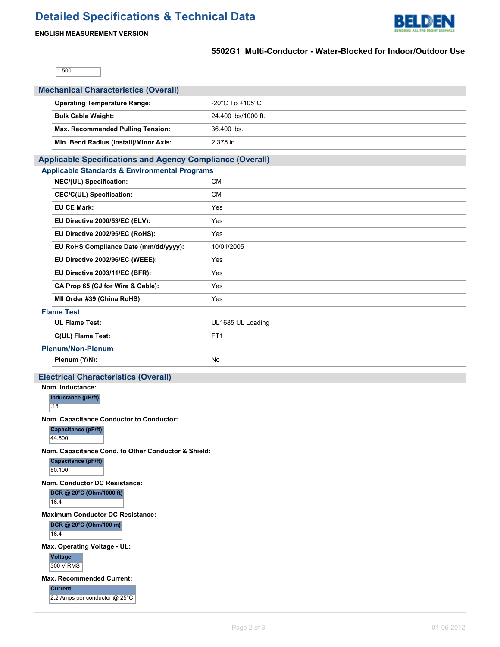# **Detailed Specifications & Technical Data**



## **ENGLISH MEASUREMENT VERSION**

٦

## **5502G1 Multi-Conductor - Water-Blocked for Indoor/Outdoor Use**

 $1.500$ 

| <b>Mechanical Characteristics (Overall)</b>                                          |                                     |  |  |  |  |  |  |  |  |  |
|--------------------------------------------------------------------------------------|-------------------------------------|--|--|--|--|--|--|--|--|--|
| <b>Operating Temperature Range:</b>                                                  | $-20^{\circ}$ C To $+105^{\circ}$ C |  |  |  |  |  |  |  |  |  |
| <b>Bulk Cable Weight:</b>                                                            | 24.400 lbs/1000 ft.                 |  |  |  |  |  |  |  |  |  |
| Max. Recommended Pulling Tension:                                                    | 36.400 lbs.                         |  |  |  |  |  |  |  |  |  |
| Min. Bend Radius (Install)/Minor Axis:                                               | 2.375 in.                           |  |  |  |  |  |  |  |  |  |
| <b>Applicable Specifications and Agency Compliance (Overall)</b>                     |                                     |  |  |  |  |  |  |  |  |  |
| <b>Applicable Standards &amp; Environmental Programs</b>                             |                                     |  |  |  |  |  |  |  |  |  |
| NEC/(UL) Specification:                                                              | <b>CM</b>                           |  |  |  |  |  |  |  |  |  |
| CEC/C(UL) Specification:                                                             | <b>CM</b>                           |  |  |  |  |  |  |  |  |  |
| <b>EU CE Mark:</b>                                                                   | Yes                                 |  |  |  |  |  |  |  |  |  |
| EU Directive 2000/53/EC (ELV):                                                       | Yes                                 |  |  |  |  |  |  |  |  |  |
| EU Directive 2002/95/EC (RoHS):                                                      | Yes                                 |  |  |  |  |  |  |  |  |  |
| EU RoHS Compliance Date (mm/dd/yyyy):                                                | 10/01/2005                          |  |  |  |  |  |  |  |  |  |
| EU Directive 2002/96/EC (WEEE):                                                      | Yes                                 |  |  |  |  |  |  |  |  |  |
| EU Directive 2003/11/EC (BFR):                                                       | Yes                                 |  |  |  |  |  |  |  |  |  |
| CA Prop 65 (CJ for Wire & Cable):                                                    | Yes                                 |  |  |  |  |  |  |  |  |  |
| MII Order #39 (China RoHS):                                                          | Yes                                 |  |  |  |  |  |  |  |  |  |
| <b>Flame Test</b>                                                                    |                                     |  |  |  |  |  |  |  |  |  |
| <b>UL Flame Test:</b>                                                                | UL1685 UL Loading                   |  |  |  |  |  |  |  |  |  |
| C(UL) Flame Test:                                                                    | FT <sub>1</sub>                     |  |  |  |  |  |  |  |  |  |
| <b>Plenum/Non-Plenum</b>                                                             |                                     |  |  |  |  |  |  |  |  |  |
| Plenum (Y/N):                                                                        | No                                  |  |  |  |  |  |  |  |  |  |
| <b>Electrical Characteristics (Overall)</b>                                          |                                     |  |  |  |  |  |  |  |  |  |
| Nom. Inductance:<br>Inductance (µH/ft)                                               |                                     |  |  |  |  |  |  |  |  |  |
| .18                                                                                  |                                     |  |  |  |  |  |  |  |  |  |
| Nom. Capacitance Conductor to Conductor:                                             |                                     |  |  |  |  |  |  |  |  |  |
| Capacitance (pF/ft)                                                                  |                                     |  |  |  |  |  |  |  |  |  |
| 44.500                                                                               |                                     |  |  |  |  |  |  |  |  |  |
| Nom. Capacitance Cond. to Other Conductor & Shield:<br>Capacitance (pF/ft)<br>80.100 |                                     |  |  |  |  |  |  |  |  |  |
| Nom. Conductor DC Resistance:<br>DCR @ 20°C (Ohm/1000 ft)<br>16.4                    |                                     |  |  |  |  |  |  |  |  |  |
| <b>Maximum Conductor DC Resistance:</b><br>DCR @ 20°C (Ohm/100 m)<br>16.4            |                                     |  |  |  |  |  |  |  |  |  |
| Max. Operating Voltage - UL:<br><b>Voltage</b><br>300 V RMS                          |                                     |  |  |  |  |  |  |  |  |  |
| <b>Max. Recommended Current:</b><br><b>Current</b><br>2.2 Amps per conductor @ 25°C  |                                     |  |  |  |  |  |  |  |  |  |